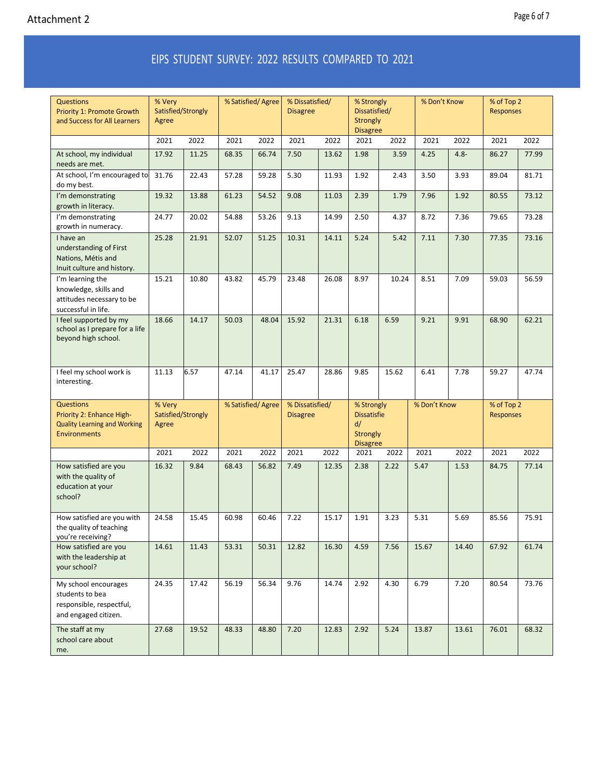## EIPS STUDENT SURVEY: 2022 RESULTS COMPARED TO 2021

| <b>Questions</b><br><b>Priority 1: Promote Growth</b><br>and Success for All Learners                       | % Very<br>Satisfied/Strongly<br>Agree |       | % Satisfied/Agree |       | % Dissatisfied/<br><b>Disagree</b> |       | % Strongly<br>Dissatisfied/<br>Strongly<br><b>Disagree</b>            |       | % Don't Know |         | % of Top 2<br><b>Responses</b> |       |
|-------------------------------------------------------------------------------------------------------------|---------------------------------------|-------|-------------------|-------|------------------------------------|-------|-----------------------------------------------------------------------|-------|--------------|---------|--------------------------------|-------|
|                                                                                                             | 2021                                  | 2022  | 2021              | 2022  | 2021                               | 2022  | 2021                                                                  | 2022  | 2021         | 2022    | 2021                           | 2022  |
| At school, my individual<br>needs are met.                                                                  | 17.92                                 | 11.25 | 68.35             | 66.74 | 7.50                               | 13.62 | 1.98                                                                  | 3.59  | 4.25         | $4.8 -$ | 86.27                          | 77.99 |
| At school, I'm encouraged to<br>do my best.                                                                 | 31.76                                 | 22.43 | 57.28             | 59.28 | 5.30                               | 11.93 | 1.92                                                                  | 2.43  | 3.50         | 3.93    | 89.04                          | 81.71 |
| I'm demonstrating<br>growth in literacy.                                                                    | 19.32                                 | 13.88 | 61.23             | 54.52 | 9.08                               | 11.03 | 2.39                                                                  | 1.79  | 7.96         | 1.92    | 80.55                          | 73.12 |
| I'm demonstrating<br>growth in numeracy.                                                                    | 24.77                                 | 20.02 | 54.88             | 53.26 | 9.13                               | 14.99 | 2.50                                                                  | 4.37  | 8.72         | 7.36    | 79.65                          | 73.28 |
| I have an<br>understanding of First<br>Nations, Métis and<br>Inuit culture and history.                     | 25.28                                 | 21.91 | 52.07             | 51.25 | 10.31                              | 14.11 | 5.24                                                                  | 5.42  | 7.11         | 7.30    | 77.35                          | 73.16 |
| I'm learning the<br>knowledge, skills and<br>attitudes necessary to be<br>successful in life.               | 15.21                                 | 10.80 | 43.82             | 45.79 | 23.48                              | 26.08 | 8.97                                                                  | 10.24 | 8.51         | 7.09    | 59.03                          | 56.59 |
| I feel supported by my<br>school as I prepare for a life<br>beyond high school.                             | 18.66                                 | 14.17 | 50.03             | 48.04 | 15.92                              | 21.31 | 6.18                                                                  | 6.59  | 9.21         | 9.91    | 68.90                          | 62.21 |
| I feel my school work is<br>interesting.                                                                    | 11.13                                 | 6.57  | 47.14             | 41.17 | 25.47                              | 28.86 | 9.85                                                                  | 15.62 | 6.41         | 7.78    | 59.27                          | 47.74 |
| <b>Questions</b><br>Priority 2: Enhance High-<br><b>Quality Learning and Working</b><br><b>Environments</b> | % Very<br>Satisfied/Strongly<br>Agree |       | % Satisfied/Agree |       | % Dissatisfied/<br><b>Disagree</b> |       | % Strongly<br><b>Dissatisfie</b><br>d/<br>Strongly<br><b>Disagree</b> |       | % Don't Know |         | % of Top 2<br><b>Responses</b> |       |
|                                                                                                             | 2022<br>2021                          |       | 2021              | 2022  | 2021                               | 2022  | 2021                                                                  | 2022  | 2021         | 2022    | 2021                           | 2022  |
| How satisfied are you<br>with the quality of<br>education at your<br>school?                                | 16.32                                 | 9.84  | 68.43             | 56.82 | 7.49                               | 12.35 | 2.38                                                                  | 2.22  | 5.47         | 1.53    | 84.75                          | 77.14 |
| How satisfied are you with<br>the quality of teaching<br>you're receiving?                                  | 24.58                                 | 15.45 | 60.98             | 60.46 | 7.22                               | 15.17 | 1.91                                                                  | 3.23  | 5.31         | 5.69    | 85.56                          | 75.91 |
| How satisfied are you<br>with the leadership at<br>your school?                                             | 14.61                                 | 11.43 | 53.31             | 50.31 | 12.82                              | 16.30 | 4.59                                                                  | 7.56  | 15.67        | 14.40   | 67.92                          | 61.74 |
| My school encourages<br>students to bea<br>responsible, respectful,<br>and engaged citizen.                 | 24.35                                 | 17.42 | 56.19             | 56.34 | 9.76                               | 14.74 | 2.92                                                                  | 4.30  | 6.79         | 7.20    | 80.54                          | 73.76 |
| The staff at my<br>school care about                                                                        | 27.68                                 | 19.52 | 48.33             | 48.80 | 7.20                               | 12.83 | 2.92                                                                  | 5.24  | 13.87        | 13.61   | 76.01                          | 68.32 |